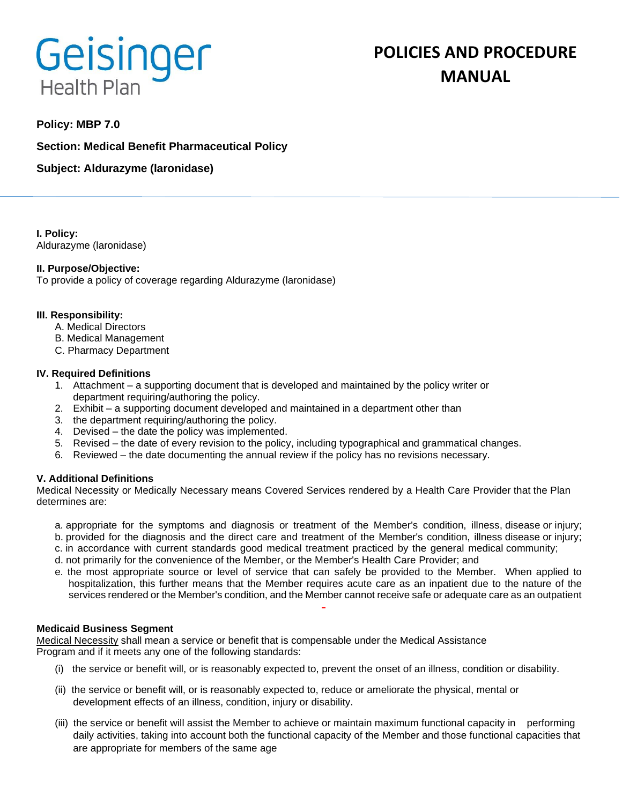# Geisinger **Health Plan**

# **Policy: MBP 7.0**

**Section: Medical Benefit Pharmaceutical Policy**

**Subject: Aldurazyme (laronidase)**

**I. Policy:** Aldurazyme (laronidase)

# **II. Purpose/Objective:**

To provide a policy of coverage regarding Aldurazyme (laronidase)

#### **III. Responsibility:**

- A. Medical Directors
- B. Medical Management
- C. Pharmacy Department

#### **IV. Required Definitions**

- 1. Attachment a supporting document that is developed and maintained by the policy writer or department requiring/authoring the policy.
- 2. Exhibit a supporting document developed and maintained in a department other than
- 3. the department requiring/authoring the policy.
- 4. Devised the date the policy was implemented.
- 5. Revised the date of every revision to the policy, including typographical and grammatical changes.
- 6. Reviewed the date documenting the annual review if the policy has no revisions necessary.

#### **V. Additional Definitions**

Medical Necessity or Medically Necessary means Covered Services rendered by a Health Care Provider that the Plan determines are:

- a. appropriate for the symptoms and diagnosis or treatment of the Member's condition, illness, disease or injury;
- b. provided for the diagnosis and the direct care and treatment of the Member's condition, illness disease or injury;
- c. in accordance with current standards good medical treatment practiced by the general medical community;
- d. not primarily for the convenience of the Member, or the Member's Health Care Provider; and
- e. the most appropriate source or level of service that can safely be provided to the Member. When applied to hospitalization, this further means that the Member requires acute care as an inpatient due to the nature of the services rendered or the Member's condition, and the Member cannot receive safe or adequate care as an outpatient

#### **Medicaid Business Segment**

Medical Necessity shall mean a service or benefit that is compensable under the Medical Assistance Program and if it meets any one of the following standards:

- (i) the service or benefit will, or is reasonably expected to, prevent the onset of an illness, condition or disability.
- (ii) the service or benefit will, or is reasonably expected to, reduce or ameliorate the physical, mental or development effects of an illness, condition, injury or disability.
- (iii) the service or benefit will assist the Member to achieve or maintain maximum functional capacity in performing daily activities, taking into account both the functional capacity of the Member and those functional capacities that are appropriate for members of the same age